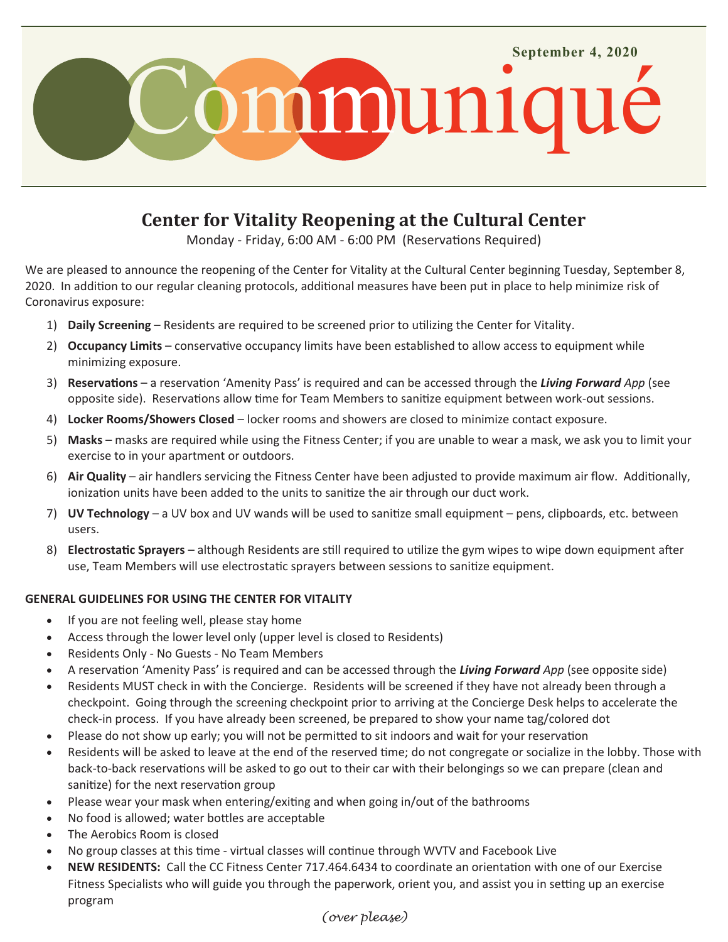

# **Center for Vitality Reopening at the Cultural Center**

Monday - Friday, 6:00 AM - 6:00 PM (Reservations Required)

We are pleased to announce the reopening of the Center for Vitality at the Cultural Center beginning Tuesday, September 8, 2020. In addition to our regular cleaning protocols, additional measures have been put in place to help minimize risk of Coronavirus exposure:

- 1) **Daily Screening**  Residents are required to be screened prior to utilizing the Center for Vitality.
- 2) **Occupancy Limits**  conservative occupancy limits have been established to allow access to equipment while minimizing exposure.
- 3) **Reservations** a reservation 'Amenity Pass' is required and can be accessed through the *Living Forward App* (see opposite side). Reservations allow time for Team Members to sanitize equipment between work-out sessions.
- 4) **Locker Rooms/Showers Closed**  locker rooms and showers are closed to minimize contact exposure.
- 5) **Masks** masks are required while using the Fitness Center; if you are unable to wear a mask, we ask you to limit your exercise to in your apartment or outdoors.
- 6) **Air Quality**  air handlers servicing the Fitness Center have been adjusted to provide maximum air flow. Additionally, ionization units have been added to the units to sanitize the air through our duct work.
- 7) **UV Technology**  a UV box and UV wands will be used to sanitize small equipment pens, clipboards, etc. between users.
- 8) **Electrostatic Sprayers**  although Residents are still required to utilize the gym wipes to wipe down equipment after use, Team Members will use electrostatic sprayers between sessions to sanitize equipment.

# **GENERAL GUIDELINES FOR USING THE CENTER FOR VITALITY**

- If you are not feeling well, please stay home
- Access through the lower level only (upper level is closed to Residents)
- Residents Only No Guests No Team Members
- A reservation 'Amenity Pass' is required and can be accessed through the *Living Forward App* (see opposite side)
- Residents MUST check in with the Concierge. Residents will be screened if they have not already been through a checkpoint. Going through the screening checkpoint prior to arriving at the Concierge Desk helps to accelerate the check-in process. If you have already been screened, be prepared to show your name tag/colored dot
- Please do not show up early; you will not be permitted to sit indoors and wait for your reservation
- Residents will be asked to leave at the end of the reserved time; do not congregate or socialize in the lobby. Those with back-to-back reservations will be asked to go out to their car with their belongings so we can prepare (clean and sanitize) for the next reservation group
- Please wear your mask when entering/exiting and when going in/out of the bathrooms
- No food is allowed; water bottles are acceptable
- The Aerobics Room is closed
- No group classes at this time virtual classes will continue through WVTV and Facebook Live
- **NEW RESIDENTS:** Call the CC Fitness Center 717.464.6434 to coordinate an orientation with one of our Exercise Fitness Specialists who will guide you through the paperwork, orient you, and assist you in setting up an exercise program

# *(over please)*